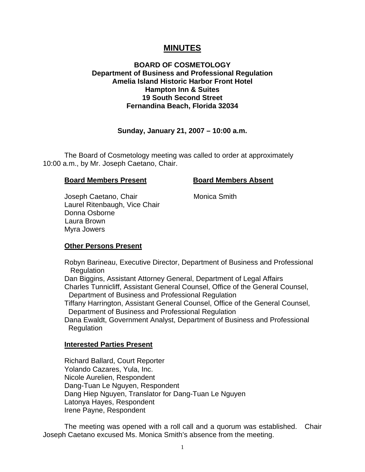# **MINUTES**

## **BOARD OF COSMETOLOGY Department of Business and Professional Regulation Amelia Island Historic Harbor Front Hotel Hampton Inn & Suites 19 South Second Street Fernandina Beach, Florida 32034**

## **Sunday, January 21, 2007 – 10:00 a.m.**

 The Board of Cosmetology meeting was called to order at approximately 10:00 a.m., by Mr. Joseph Caetano, Chair.

#### **Board Members Present Board Members Absent**

Joseph Caetano, Chair **Monica Smith**  Laurel Ritenbaugh, Vice Chair Donna Osborne Laura Brown Myra Jowers

#### **Other Persons Present**

 Robyn Barineau, Executive Director, Department of Business and Professional Regulation Dan Biggins, Assistant Attorney General, Department of Legal Affairs Charles Tunnicliff, Assistant General Counsel, Office of the General Counsel, Department of Business and Professional Regulation Tiffany Harrington, Assistant General Counsel, Office of the General Counsel, Department of Business and Professional Regulation Dana Ewaldt, Government Analyst, Department of Business and Professional **Regulation** 

#### **Interested Parties Present**

Richard Ballard, Court Reporter Yolando Cazares, Yula, Inc. Nicole Aurelien, Respondent Dang-Tuan Le Nguyen, Respondent Dang Hiep Nguyen, Translator for Dang-Tuan Le Nguyen Latonya Hayes, Respondent Irene Payne, Respondent

 The meeting was opened with a roll call and a quorum was established. Chair Joseph Caetano excused Ms. Monica Smith's absence from the meeting.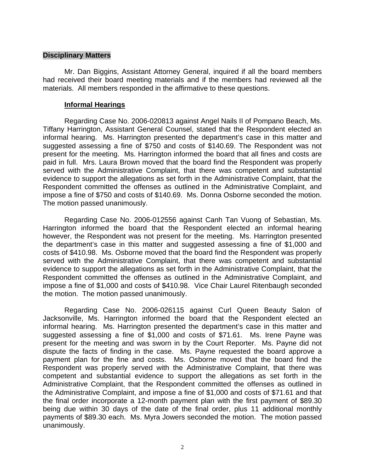#### **Disciplinary Matters**

 Mr. Dan Biggins, Assistant Attorney General, inquired if all the board members had received their board meeting materials and if the members had reviewed all the materials. All members responded in the affirmative to these questions.

### **Informal Hearings**

 Regarding Case No. 2006-020813 against Angel Nails II of Pompano Beach, Ms. Tiffany Harrington, Assistant General Counsel, stated that the Respondent elected an informal hearing. Ms. Harrington presented the department's case in this matter and suggested assessing a fine of \$750 and costs of \$140.69. The Respondent was not present for the meeting. Ms. Harrington informed the board that all fines and costs are paid in full. Mrs. Laura Brown moved that the board find the Respondent was properly served with the Administrative Complaint, that there was competent and substantial evidence to support the allegations as set forth in the Administrative Complaint, that the Respondent committed the offenses as outlined in the Administrative Complaint, and impose a fine of \$750 and costs of \$140.69. Ms. Donna Osborne seconded the motion. The motion passed unanimously.

 Regarding Case No. 2006-012556 against Canh Tan Vuong of Sebastian, Ms. Harrington informed the board that the Respondent elected an informal hearing however, the Respondent was not present for the meeting. Ms. Harrington presented the department's case in this matter and suggested assessing a fine of \$1,000 and costs of \$410.98. Ms. Osborne moved that the board find the Respondent was properly served with the Administrative Complaint, that there was competent and substantial evidence to support the allegations as set forth in the Administrative Complaint, that the Respondent committed the offenses as outlined in the Administrative Complaint, and impose a fine of \$1,000 and costs of \$410.98. Vice Chair Laurel Ritenbaugh seconded the motion. The motion passed unanimously.

 Regarding Case No. 2006-026115 against Curl Queen Beauty Salon of Jacksonville, Ms. Harrington informed the board that the Respondent elected an informal hearing. Ms. Harrington presented the department's case in this matter and suggested assessing a fine of \$1,000 and costs of \$71.61. Ms. Irene Payne was present for the meeting and was sworn in by the Court Reporter. Ms. Payne did not dispute the facts of finding in the case. Ms. Payne requested the board approve a payment plan for the fine and costs. Ms. Osborne moved that the board find the Respondent was properly served with the Administrative Complaint, that there was competent and substantial evidence to support the allegations as set forth in the Administrative Complaint, that the Respondent committed the offenses as outlined in the Administrative Complaint, and impose a fine of \$1,000 and costs of \$71.61 and that the final order incorporate a 12-month payment plan with the first payment of \$89.30 being due within 30 days of the date of the final order, plus 11 additional monthly payments of \$89.30 each. Ms. Myra Jowers seconded the motion. The motion passed unanimously.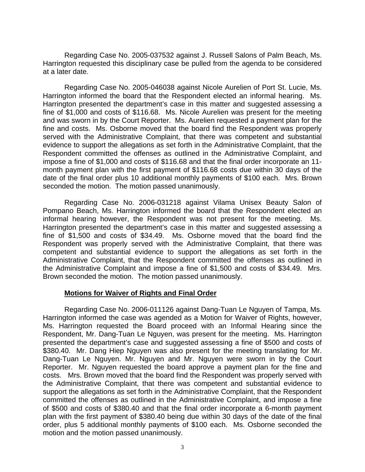Regarding Case No. 2005-037532 against J. Russell Salons of Palm Beach, Ms. Harrington requested this disciplinary case be pulled from the agenda to be considered at a later date.

Regarding Case No. 2005-046038 against Nicole Aurelien of Port St. Lucie, Ms. Harrington informed the board that the Respondent elected an informal hearing. Ms. Harrington presented the department's case in this matter and suggested assessing a fine of \$1,000 and costs of \$116.68. Ms. Nicole Aurelien was present for the meeting and was sworn in by the Court Reporter. Ms. Aurelien requested a payment plan for the fine and costs. Ms. Osborne moved that the board find the Respondent was properly served with the Administrative Complaint, that there was competent and substantial evidence to support the allegations as set forth in the Administrative Complaint, that the Respondent committed the offenses as outlined in the Administrative Complaint, and impose a fine of \$1,000 and costs of \$116.68 and that the final order incorporate an 11 month payment plan with the first payment of \$116.68 costs due within 30 days of the date of the final order plus 10 additional monthly payments of \$100 each. Mrs. Brown seconded the motion. The motion passed unanimously.

 Regarding Case No. 2006-031218 against Vilama Unisex Beauty Salon of Pompano Beach, Ms. Harrington informed the board that the Respondent elected an informal hearing however, the Respondent was not present for the meeting. Ms. Harrington presented the department's case in this matter and suggested assessing a fine of \$1,500 and costs of \$34.49. Ms. Osborne moved that the board find the Respondent was properly served with the Administrative Complaint, that there was competent and substantial evidence to support the allegations as set forth in the Administrative Complaint, that the Respondent committed the offenses as outlined in the Administrative Complaint and impose a fine of \$1,500 and costs of \$34.49. Mrs. Brown seconded the motion. The motion passed unanimously.

## **Motions for Waiver of Rights and Final Order**

 Regarding Case No. 2006-011126 against Dang-Tuan Le Nguyen of Tampa, Ms. Harrington informed the case was agended as a Motion for Waiver of Rights, however, Ms. Harrington requested the Board proceed with an Informal Hearing since the Respondent, Mr. Dang-Tuan Le Nguyen, was present for the meeting. Ms. Harrington presented the department's case and suggested assessing a fine of \$500 and costs of \$380.40. Mr. Dang Hiep Nguyen was also present for the meeting translating for Mr. Dang-Tuan Le Nguyen. Mr. Nguyen and Mr. Nguyen were sworn in by the Court Reporter. Mr. Nguyen requested the board approve a payment plan for the fine and costs. Mrs. Brown moved that the board find the Respondent was properly served with the Administrative Complaint, that there was competent and substantial evidence to support the allegations as set forth in the Administrative Complaint, that the Respondent committed the offenses as outlined in the Administrative Complaint, and impose a fine of \$500 and costs of \$380.40 and that the final order incorporate a 6-month payment plan with the first payment of \$380.40 being due within 30 days of the date of the final order, plus 5 additional monthly payments of \$100 each. Ms. Osborne seconded the motion and the motion passed unanimously.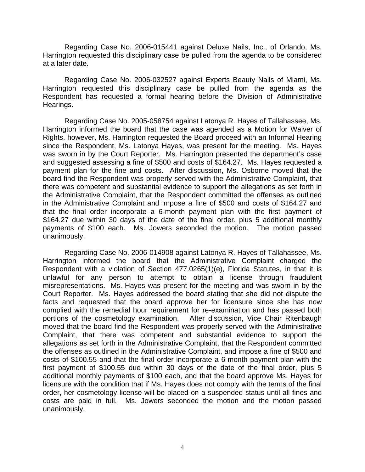Regarding Case No. 2006-015441 against Deluxe Nails, Inc., of Orlando, Ms. Harrington requested this disciplinary case be pulled from the agenda to be considered at a later date.

 Regarding Case No. 2006-032527 against Experts Beauty Nails of Miami, Ms. Harrington requested this disciplinary case be pulled from the agenda as the Respondent has requested a formal hearing before the Division of Administrative Hearings.

 Regarding Case No. 2005-058754 against Latonya R. Hayes of Tallahassee, Ms. Harrington informed the board that the case was agended as a Motion for Waiver of Rights, however, Ms. Harrington requested the Board proceed with an Informal Hearing since the Respondent, Ms. Latonya Hayes, was present for the meeting. Ms. Hayes was sworn in by the Court Reporter. Ms. Harrington presented the department's case and suggested assessing a fine of \$500 and costs of \$164.27. Ms. Hayes requested a payment plan for the fine and costs. After discussion, Ms. Osborne moved that the board find the Respondent was properly served with the Administrative Complaint, that there was competent and substantial evidence to support the allegations as set forth in the Administrative Complaint, that the Respondent committed the offenses as outlined in the Administrative Complaint and impose a fine of \$500 and costs of \$164.27 and that the final order incorporate a 6-month payment plan with the first payment of \$164.27 due within 30 days of the date of the final order. plus 5 additional monthly payments of \$100 each. Ms. Jowers seconded the motion. The motion passed unanimously.

 Regarding Case No. 2006-014908 against Latonya R. Hayes of Tallahassee, Ms. Harrington informed the board that the Administrative Complaint charged the Respondent with a violation of Section 477.0265(1)(e), Florida Statutes, in that it is unlawful for any person to attempt to obtain a license through fraudulent misrepresentations. Ms. Hayes was present for the meeting and was sworn in by the Court Reporter. Ms. Hayes addressed the board stating that she did not dispute the facts and requested that the board approve her for licensure since she has now complied with the remedial hour requirement for re-examination and has passed both portions of the cosmetology examination. After discussion, Vice Chair Ritenbaugh moved that the board find the Respondent was properly served with the Administrative Complaint, that there was competent and substantial evidence to support the allegations as set forth in the Administrative Complaint, that the Respondent committed the offenses as outlined in the Administrative Complaint, and impose a fine of \$500 and costs of \$100.55 and that the final order incorporate a 6-month payment plan with the first payment of \$100.55 due within 30 days of the date of the final order, plus 5 additional monthly payments of \$100 each, and that the board approve Ms. Hayes for licensure with the condition that if Ms. Hayes does not comply with the terms of the final order, her cosmetology license will be placed on a suspended status until all fines and costs are paid in full. Ms. Jowers seconded the motion and the motion passed unanimously.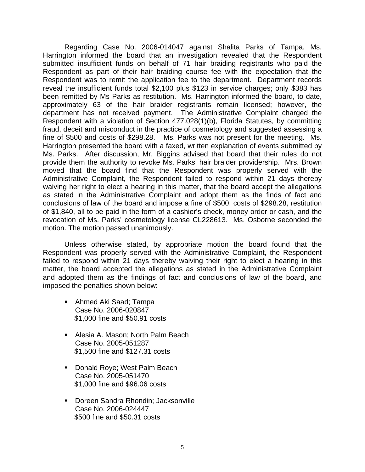Regarding Case No. 2006-014047 against Shalita Parks of Tampa, Ms. Harrington informed the board that an investigation revealed that the Respondent submitted insufficient funds on behalf of 71 hair braiding registrants who paid the Respondent as part of their hair braiding course fee with the expectation that the Respondent was to remit the application fee to the department. Department records reveal the insufficient funds total \$2,100 plus \$123 in service charges; only \$383 has been remitted by Ms Parks as restitution. Ms. Harrington informed the board, to date, approximately 63 of the hair braider registrants remain licensed; however, the department has not received payment. The Administrative Complaint charged the Respondent with a violation of Section 477.028(1)(b), Florida Statutes, by committing fraud, deceit and misconduct in the practice of cosmetology and suggested assessing a fine of \$500 and costs of \$298.28. Ms. Parks was not present for the meeting. Ms. Harrington presented the board with a faxed, written explanation of events submitted by Ms. Parks. After discussion, Mr. Biggins advised that board that their rules do not provide them the authority to revoke Ms. Parks' hair braider providership. Mrs. Brown moved that the board find that the Respondent was properly served with the Administrative Complaint, the Respondent failed to respond within 21 days thereby waiving her right to elect a hearing in this matter, that the board accept the allegations as stated in the Administrative Complaint and adopt them as the finds of fact and conclusions of law of the board and impose a fine of \$500, costs of \$298.28, restitution of \$1,840, all to be paid in the form of a cashier's check, money order or cash, and the revocation of Ms. Parks' cosmetology license CL228613. Ms. Osborne seconded the motion. The motion passed unanimously.

 Unless otherwise stated, by appropriate motion the board found that the Respondent was properly served with the Administrative Complaint, the Respondent failed to respond within 21 days thereby waiving their right to elect a hearing in this matter, the board accepted the allegations as stated in the Administrative Complaint and adopted them as the findings of fact and conclusions of law of the board, and imposed the penalties shown below:

- Ahmed Aki Saad; Tampa Case No. 2006-020847 \$1,000 fine and \$50.91 costs
- Alesia A. Mason; North Palm Beach Case No. 2005-051287 \$1,500 fine and \$127.31 costs
- **Donald Roye; West Palm Beach** Case No. 2005-051470 \$1,000 fine and \$96.06 costs
- **Doreen Sandra Rhondin; Jacksonville** Case No. 2006-024447 \$500 fine and \$50.31 costs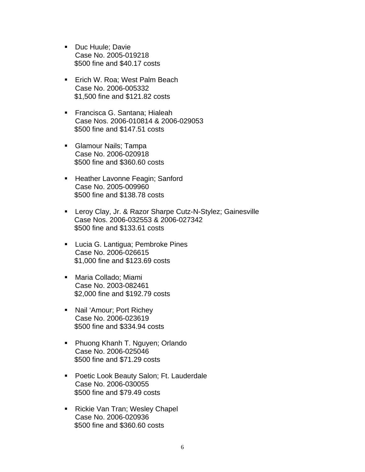- Duc Huule: Davie Case No. 2005-019218 \$500 fine and \$40.17 costs
- **Erich W. Roa: West Palm Beach** Case No. 2006-005332 \$1,500 fine and \$121.82 costs
- **Francisca G. Santana: Hialeah** Case Nos. 2006-010814 & 2006-029053 \$500 fine and \$147.51 costs
- **Glamour Nails; Tampa** Case No. 2006-020918 \$500 fine and \$360.60 costs
- **Heather Lavonne Feagin; Sanford** Case No. 2005-009960 \$500 fine and \$138.78 costs
- **E** Leroy Clay, Jr. & Razor Sharpe Cutz-N-Stylez; Gainesville Case Nos. 2006-032553 & 2006-027342 \$500 fine and \$133.61 costs
- **Lucia G. Lantigua; Pembroke Pines** Case No. 2006-026615 \$1,000 fine and \$123.69 costs
- Maria Collado; Miami Case No. 2003-082461 \$2,000 fine and \$192.79 costs
- Nail 'Amour; Port Richey Case No. 2006-023619 \$500 fine and \$334.94 costs
- **Phuong Khanh T. Nguyen; Orlando** Case No. 2006-025046 \$500 fine and \$71.29 costs
- **Poetic Look Beauty Salon; Ft. Lauderdale** Case No. 2006-030055 \$500 fine and \$79.49 costs
- Rickie Van Tran; Wesley Chapel Case No. 2006-020936 \$500 fine and \$360.60 costs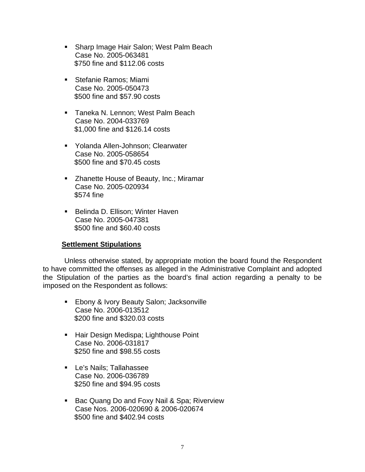- **Sharp Image Hair Salon; West Palm Beach** Case No. 2005-063481 \$750 fine and \$112.06 costs
- **Stefanie Ramos**; Miami Case No. 2005-050473 \$500 fine and \$57.90 costs
- **Taneka N. Lennon: West Palm Beach** Case No. 2004-033769 \$1,000 fine and \$126.14 costs
- Yolanda Allen-Johnson; Clearwater Case No. 2005-058654 \$500 fine and \$70.45 costs
- **EXEC** 2 Zhanette House of Beauty, Inc.; Miramar Case No. 2005-020934 \$574 fine
- Belinda D. Ellison: Winter Haven Case No. 2005-047381 \$500 fine and \$60.40 costs

# **Settlement Stipulations**

 Unless otherwise stated, by appropriate motion the board found the Respondent to have committed the offenses as alleged in the Administrative Complaint and adopted the Stipulation of the parties as the board's final action regarding a penalty to be imposed on the Respondent as follows:

- **Ebony & Ivory Beauty Salon; Jacksonville** Case No. 2006-013512 \$200 fine and \$320.03 costs
- **Hair Design Medispa; Lighthouse Point** Case No. 2006-031817 \$250 fine and \$98.55 costs
- **Le's Nails: Tallahassee** Case No. 2006-036789 \$250 fine and \$94.95 costs
- **Bac Quang Do and Foxy Nail & Spa; Riverview** Case Nos. 2006-020690 & 2006-020674 \$500 fine and \$402.94 costs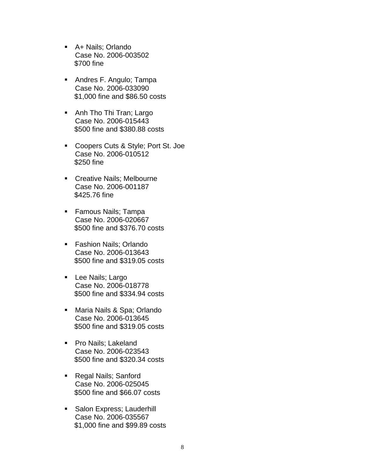- A+ Nails; Orlando Case No. 2006-003502 \$700 fine
- **Andres F. Angulo; Tampa** Case No. 2006-033090 \$1,000 fine and \$86.50 costs
- Anh Tho Thi Tran; Largo Case No. 2006-015443 \$500 fine and \$380.88 costs
- Coopers Cuts & Style; Port St. Joe Case No. 2006-010512 \$250 fine
- **Creative Nails; Melbourne** Case No. 2006-001187 \$425.76 fine
- **Famous Nails; Tampa** Case No. 2006-020667 \$500 fine and \$376.70 costs
- **Fashion Nails; Orlando** Case No. 2006-013643 \$500 fine and \$319.05 costs
- **Lee Nails; Largo** Case No. 2006-018778 \$500 fine and \$334.94 costs
- Maria Nails & Spa; Orlando Case No. 2006-013645 \$500 fine and \$319.05 costs
- **Pro Nails; Lakeland** Case No. 2006-023543 \$500 fine and \$320.34 costs
- Regal Nails; Sanford Case No. 2006-025045 \$500 fine and \$66.07 costs
- **Salon Express; Lauderhill** Case No. 2006-035567 \$1,000 fine and \$99.89 costs